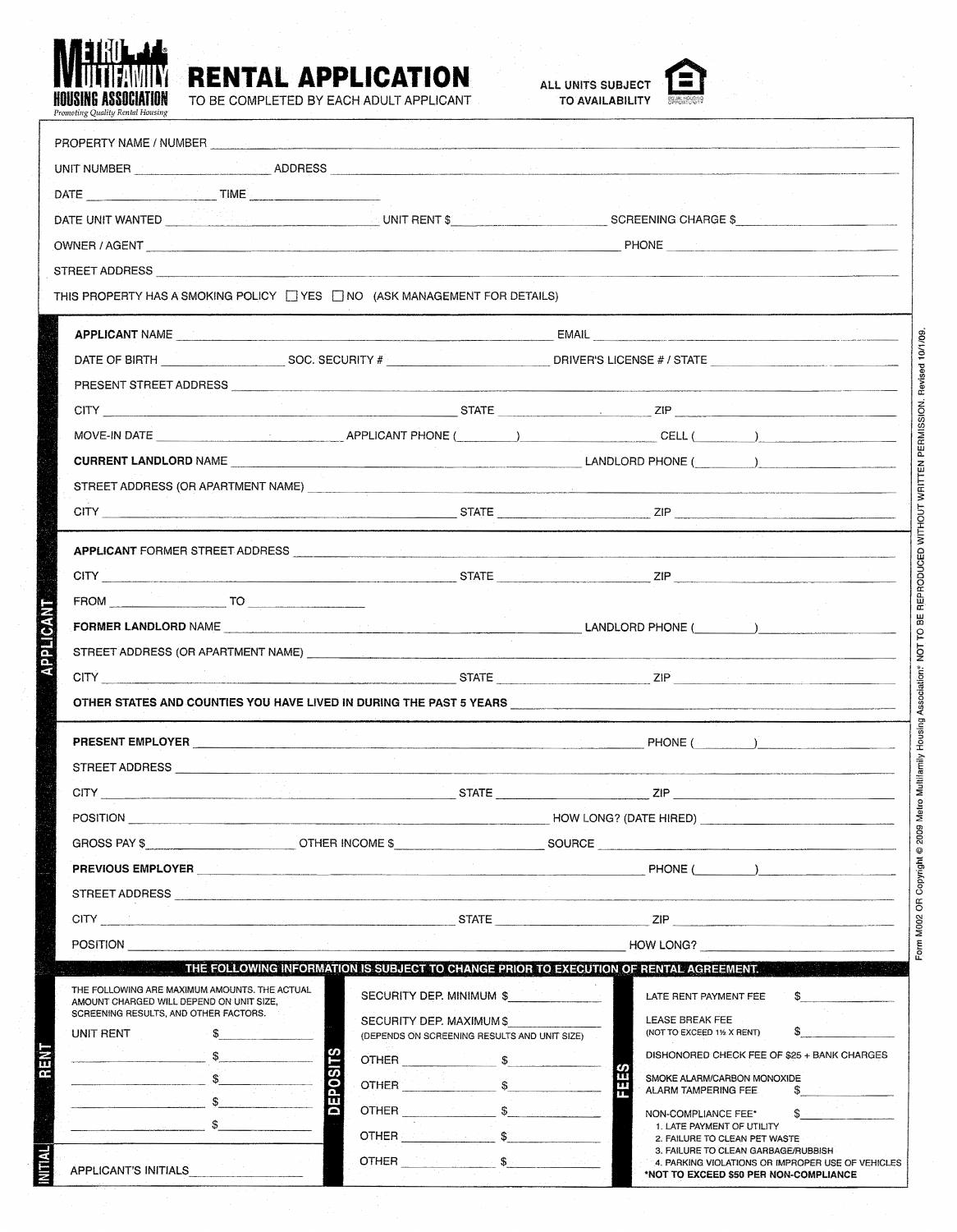

## **RENTAL APPLICATION**<br>TO BE COMPLETED BY EACH ADULT APPLICANT TO AVAILABILITY

APPLICANT'S INITIALS

TO BE COMPLETED BY EACH ADULT APPLICANT





3. FAILURE TO CLEAN GARBAGE/RUBBISH

**A. PARKING VIOLATIONS OR IMPROPER USE OF VEHICLES**<br>\*NOT TO EXCEED \$50 PER NON-COMPLIANCE

a: